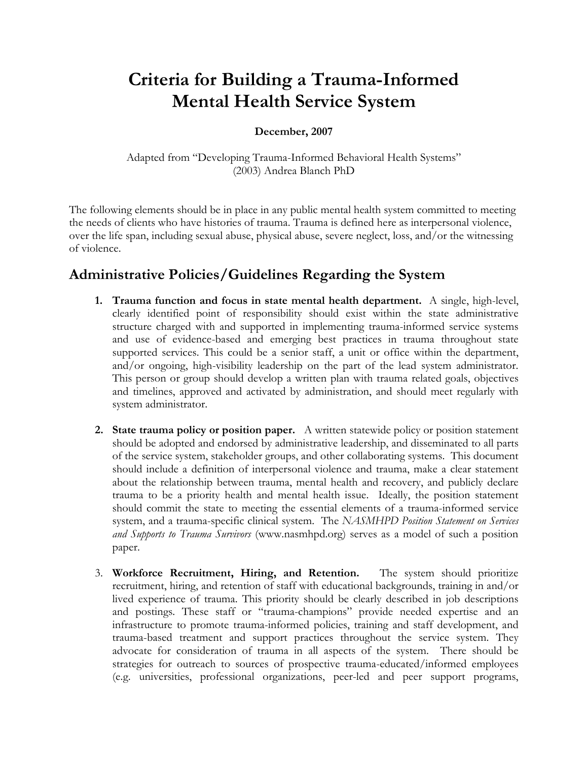# Criteria for Building a Trauma-Informed Mental Health Service System

#### December, 2007

Adapted from "Developing Trauma-Informed Behavioral Health Systems" (2003) Andrea Blanch PhD

The following elements should be in place in any public mental health system committed to meeting the needs of clients who have histories of trauma. Trauma is defined here as interpersonal violence, over the life span, including sexual abuse, physical abuse, severe neglect, loss, and/or the witnessing of violence.

## Administrative Policies/Guidelines Regarding the System

- 1. Trauma function and focus in state mental health department. A single, high-level, clearly identified point of responsibility should exist within the state administrative structure charged with and supported in implementing trauma-informed service systems and use of evidence-based and emerging best practices in trauma throughout state supported services. This could be a senior staff, a unit or office within the department, and/or ongoing, high-visibility leadership on the part of the lead system administrator. This person or group should develop a written plan with trauma related goals, objectives and timelines, approved and activated by administration, and should meet regularly with system administrator.
- 2. State trauma policy or position paper. A written statewide policy or position statement should be adopted and endorsed by administrative leadership, and disseminated to all parts of the service system, stakeholder groups, and other collaborating systems. This document should include a definition of interpersonal violence and trauma, make a clear statement about the relationship between trauma, mental health and recovery, and publicly declare trauma to be a priority health and mental health issue. Ideally, the position statement should commit the state to meeting the essential elements of a trauma-informed service system, and a trauma-specific clinical system. The NASMHPD Position Statement on Services and Supports to Trauma Survivors (www.nasmhpd.org) serves as a model of such a position paper.
- 3. Workforce Recruitment, Hiring, and Retention. The system should prioritize recruitment, hiring, and retention of staff with educational backgrounds, training in and/or lived experience of trauma. This priority should be clearly described in job descriptions and postings. These staff or "trauma-champions" provide needed expertise and an infrastructure to promote trauma-informed policies, training and staff development, and trauma-based treatment and support practices throughout the service system. They advocate for consideration of trauma in all aspects of the system. There should be strategies for outreach to sources of prospective trauma-educated/informed employees (e.g. universities, professional organizations, peer-led and peer support programs,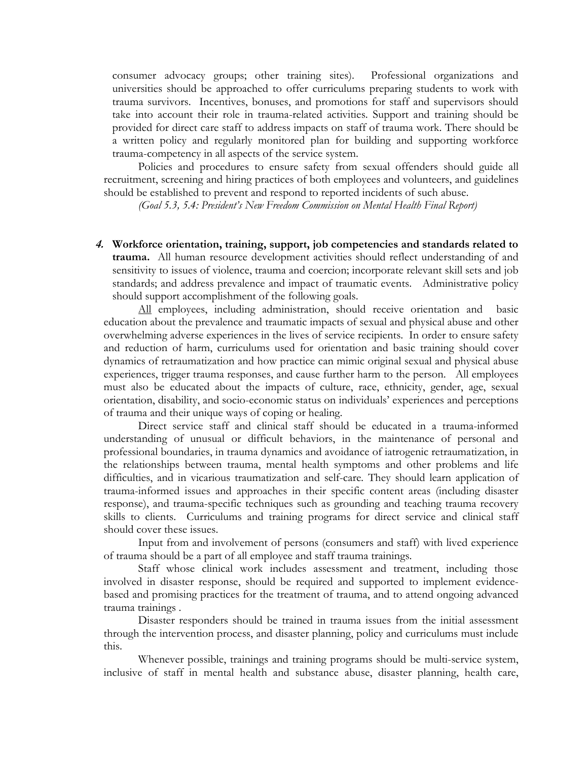consumer advocacy groups; other training sites). Professional organizations and universities should be approached to offer curriculums preparing students to work with trauma survivors. Incentives, bonuses, and promotions for staff and supervisors should take into account their role in trauma-related activities. Support and training should be provided for direct care staff to address impacts on staff of trauma work. There should be a written policy and regularly monitored plan for building and supporting workforce trauma-competency in all aspects of the service system.

Policies and procedures to ensure safety from sexual offenders should guide all recruitment, screening and hiring practices of both employees and volunteers, and guidelines should be established to prevent and respond to reported incidents of such abuse.

(Goal 5.3, 5.4: President's New Freedom Commission on Mental Health Final Report)

4. Workforce orientation, training, support, job competencies and standards related to trauma. All human resource development activities should reflect understanding of and sensitivity to issues of violence, trauma and coercion; incorporate relevant skill sets and job standards; and address prevalence and impact of traumatic events. Administrative policy should support accomplishment of the following goals.

All employees, including administration, should receive orientation and basic education about the prevalence and traumatic impacts of sexual and physical abuse and other overwhelming adverse experiences in the lives of service recipients. In order to ensure safety and reduction of harm, curriculums used for orientation and basic training should cover dynamics of retraumatization and how practice can mimic original sexual and physical abuse experiences, trigger trauma responses, and cause further harm to the person. All employees must also be educated about the impacts of culture, race, ethnicity, gender, age, sexual orientation, disability, and socio-economic status on individuals' experiences and perceptions of trauma and their unique ways of coping or healing.

Direct service staff and clinical staff should be educated in a trauma-informed understanding of unusual or difficult behaviors, in the maintenance of personal and professional boundaries, in trauma dynamics and avoidance of iatrogenic retraumatization, in the relationships between trauma, mental health symptoms and other problems and life difficulties, and in vicarious traumatization and self-care. They should learn application of trauma-informed issues and approaches in their specific content areas (including disaster response), and trauma-specific techniques such as grounding and teaching trauma recovery skills to clients. Curriculums and training programs for direct service and clinical staff should cover these issues.

Input from and involvement of persons (consumers and staff) with lived experience of trauma should be a part of all employee and staff trauma trainings.

Staff whose clinical work includes assessment and treatment, including those involved in disaster response, should be required and supported to implement evidencebased and promising practices for the treatment of trauma, and to attend ongoing advanced trauma trainings .

Disaster responders should be trained in trauma issues from the initial assessment through the intervention process, and disaster planning, policy and curriculums must include this.

Whenever possible, trainings and training programs should be multi-service system, inclusive of staff in mental health and substance abuse, disaster planning, health care,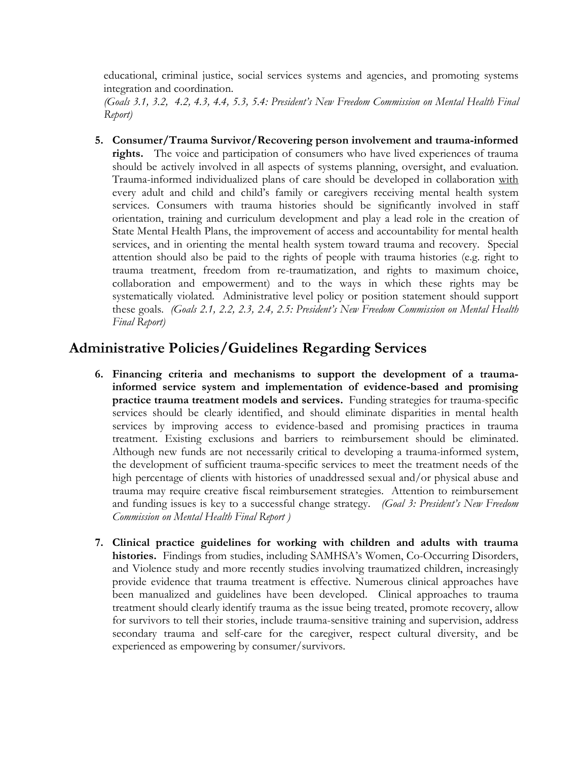educational, criminal justice, social services systems and agencies, and promoting systems integration and coordination.

(Goals 3.1, 3.2, 4.2, 4.3, 4.4, 5.3, 5.4: President's New Freedom Commission on Mental Health Final Report)

5. Consumer/Trauma Survivor/Recovering person involvement and trauma-informed rights. The voice and participation of consumers who have lived experiences of trauma should be actively involved in all aspects of systems planning, oversight, and evaluation. Trauma-informed individualized plans of care should be developed in collaboration with every adult and child and child's family or caregivers receiving mental health system services. Consumers with trauma histories should be significantly involved in staff orientation, training and curriculum development and play a lead role in the creation of State Mental Health Plans, the improvement of access and accountability for mental health services, and in orienting the mental health system toward trauma and recovery. Special attention should also be paid to the rights of people with trauma histories (e.g. right to trauma treatment, freedom from re-traumatization, and rights to maximum choice, collaboration and empowerment) and to the ways in which these rights may be systematically violated. Administrative level policy or position statement should support these goals. (Goals 2.1, 2.2, 2.3, 2.4, 2.5: President's New Freedom Commission on Mental Health Final Report)

### Administrative Policies/Guidelines Regarding Services

- 6. Financing criteria and mechanisms to support the development of a traumainformed service system and implementation of evidence-based and promising practice trauma treatment models and services. Funding strategies for trauma-specific services should be clearly identified, and should eliminate disparities in mental health services by improving access to evidence-based and promising practices in trauma treatment. Existing exclusions and barriers to reimbursement should be eliminated. Although new funds are not necessarily critical to developing a trauma-informed system, the development of sufficient trauma-specific services to meet the treatment needs of the high percentage of clients with histories of unaddressed sexual and/or physical abuse and trauma may require creative fiscal reimbursement strategies. Attention to reimbursement and funding issues is key to a successful change strategy. (Goal 3: President's New Freedom Commission on Mental Health Final Report )
- 7. Clinical practice guidelines for working with children and adults with trauma histories. Findings from studies, including SAMHSA's Women, Co-Occurring Disorders, and Violence study and more recently studies involving traumatized children, increasingly provide evidence that trauma treatment is effective. Numerous clinical approaches have been manualized and guidelines have been developed. Clinical approaches to trauma treatment should clearly identify trauma as the issue being treated, promote recovery, allow for survivors to tell their stories, include trauma-sensitive training and supervision, address secondary trauma and self-care for the caregiver, respect cultural diversity, and be experienced as empowering by consumer/survivors.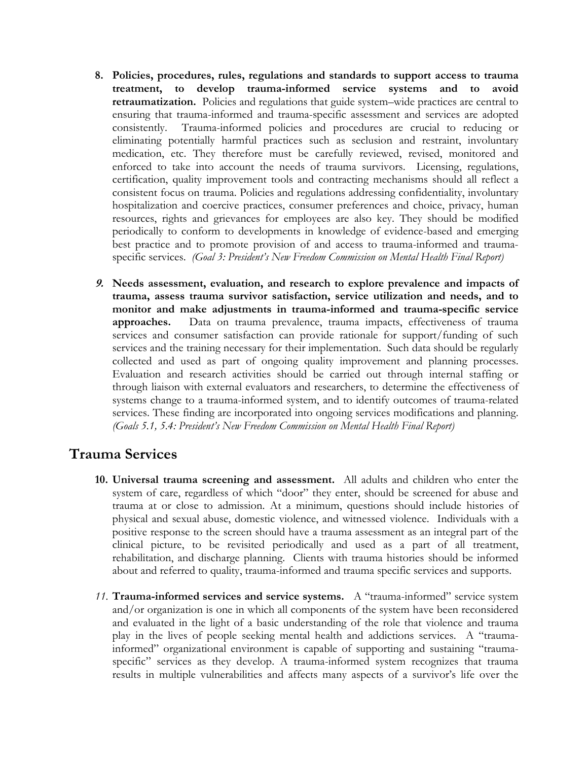- 8. Policies, procedures, rules, regulations and standards to support access to trauma treatment, to develop trauma-informed service systems and to avoid retraumatization. Policies and regulations that guide system–wide practices are central to ensuring that trauma-informed and trauma-specific assessment and services are adopted consistently. Trauma-informed policies and procedures are crucial to reducing or eliminating potentially harmful practices such as seclusion and restraint, involuntary medication, etc. They therefore must be carefully reviewed, revised, monitored and enforced to take into account the needs of trauma survivors. Licensing, regulations, certification, quality improvement tools and contracting mechanisms should all reflect a consistent focus on trauma. Policies and regulations addressing confidentiality, involuntary hospitalization and coercive practices, consumer preferences and choice, privacy, human resources, rights and grievances for employees are also key. They should be modified periodically to conform to developments in knowledge of evidence-based and emerging best practice and to promote provision of and access to trauma-informed and traumaspecific services. (Goal 3: President's New Freedom Commission on Mental Health Final Report)
- 9. Needs assessment, evaluation, and research to explore prevalence and impacts of trauma, assess trauma survivor satisfaction, service utilization and needs, and to monitor and make adjustments in trauma-informed and trauma-specific service approaches. Data on trauma prevalence, trauma impacts, effectiveness of trauma services and consumer satisfaction can provide rationale for support/funding of such services and the training necessary for their implementation. Such data should be regularly collected and used as part of ongoing quality improvement and planning processes. Evaluation and research activities should be carried out through internal staffing or through liaison with external evaluators and researchers, to determine the effectiveness of systems change to a trauma-informed system, and to identify outcomes of trauma-related services. These finding are incorporated into ongoing services modifications and planning. (Goals 5.1, 5.4: President's New Freedom Commission on Mental Health Final Report)

#### Trauma Services

- 10. Universal trauma screening and assessment. All adults and children who enter the system of care, regardless of which "door" they enter, should be screened for abuse and trauma at or close to admission. At a minimum, questions should include histories of physical and sexual abuse, domestic violence, and witnessed violence. Individuals with a positive response to the screen should have a trauma assessment as an integral part of the clinical picture, to be revisited periodically and used as a part of all treatment, rehabilitation, and discharge planning. Clients with trauma histories should be informed about and referred to quality, trauma-informed and trauma specific services and supports.
- 11. Trauma-informed services and service systems. A "trauma-informed" service system and/or organization is one in which all components of the system have been reconsidered and evaluated in the light of a basic understanding of the role that violence and trauma play in the lives of people seeking mental health and addictions services. A "traumainformed" organizational environment is capable of supporting and sustaining "traumaspecific" services as they develop. A trauma-informed system recognizes that trauma results in multiple vulnerabilities and affects many aspects of a survivor's life over the